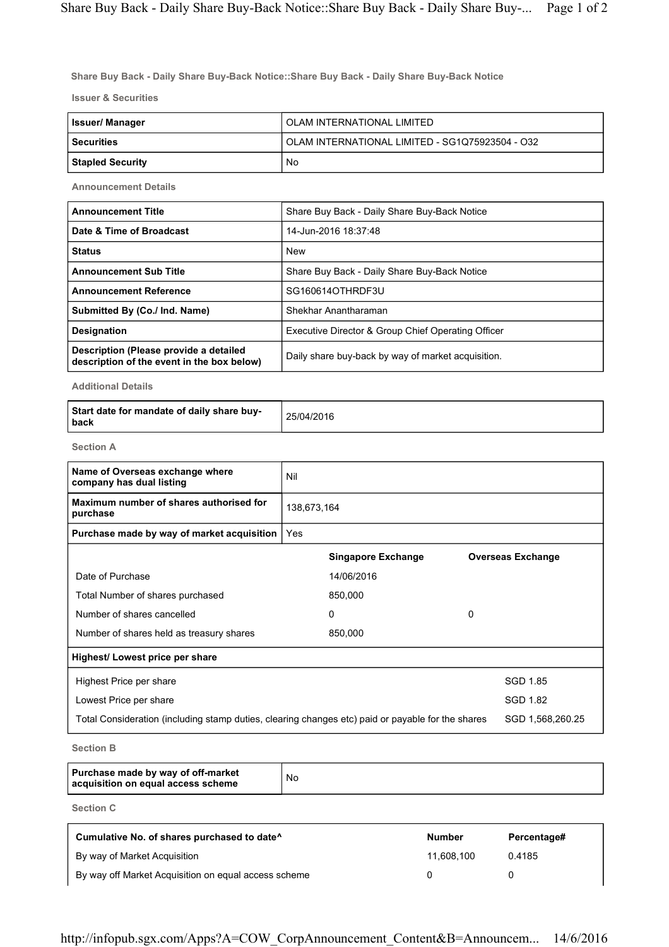Share Buy Back - Daily Share Buy-Back Notice::Share Buy Back - Daily Share Buy-Back Notice

Issuer & Securities

| <b>Issuer/Manager</b> | OLAM INTERNATIONAL LIMITED                      |
|-----------------------|-------------------------------------------------|
| l Securities          | OLAM INTERNATIONAL LIMITED - SG1Q75923504 - O32 |
| Stapled Security      | No                                              |

Announcement Details

| <b>Announcement Title</b>                                                            | Share Buy Back - Daily Share Buy-Back Notice       |
|--------------------------------------------------------------------------------------|----------------------------------------------------|
| Date & Time of Broadcast                                                             | 14-Jun-2016 18:37:48                               |
| <b>Status</b>                                                                        | <b>New</b>                                         |
| <b>Announcement Sub Title</b>                                                        | Share Buy Back - Daily Share Buy-Back Notice       |
| <b>Announcement Reference</b>                                                        | SG160614OTHRDF3U                                   |
| Submitted By (Co./ Ind. Name)                                                        | Shekhar Anantharaman                               |
| <b>Designation</b>                                                                   | Executive Director & Group Chief Operating Officer |
| Description (Please provide a detailed<br>description of the event in the box below) | Daily share buy-back by way of market acquisition. |

Additional Details

Section A

| Name of Overseas exchange where<br>company has dual listing                                       | Nil         |                           |  |                          |
|---------------------------------------------------------------------------------------------------|-------------|---------------------------|--|--------------------------|
| Maximum number of shares authorised for<br>purchase                                               | 138,673,164 |                           |  |                          |
| Purchase made by way of market acquisition                                                        | Yes         |                           |  |                          |
|                                                                                                   |             | <b>Singapore Exchange</b> |  | <b>Overseas Exchange</b> |
| Date of Purchase                                                                                  |             | 14/06/2016                |  |                          |
| Total Number of shares purchased                                                                  |             | 850,000                   |  |                          |
| Number of shares cancelled                                                                        |             | 0<br>0                    |  |                          |
| Number of shares held as treasury shares                                                          |             | 850,000                   |  |                          |
| Highest/ Lowest price per share                                                                   |             |                           |  |                          |
| Highest Price per share                                                                           |             |                           |  | SGD 1.85                 |
| Lowest Price per share                                                                            |             |                           |  | SGD 1.82                 |
| Total Consideration (including stamp duties, clearing changes etc) paid or payable for the shares |             |                           |  | SGD 1,568,260.25         |

Section B

| Purchase made by way of off-market<br>acquisition on equal access scheme | No |
|--------------------------------------------------------------------------|----|
|--------------------------------------------------------------------------|----|

Section C

| Cumulative No. of shares purchased to date <sup>^</sup> | <b>Number</b> | Percentage# |
|---------------------------------------------------------|---------------|-------------|
| By way of Market Acquisition                            | 11.608.100    | 0.4185      |
| By way off Market Acquisition on equal access scheme    |               |             |